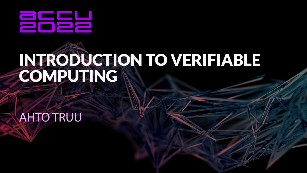

# INTRODUCTION TO VERIFIABLE

**AHTO TRUU**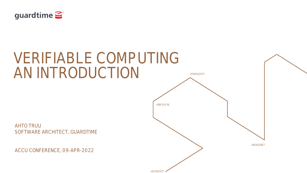

## VERIFIABLE COMPUTING AN INTRODUCTION

AHTO TRUU SOFTWARE ARCHITECT, GUARDTIME

ACCU CONFERENCE, 09-APR-2022



+121412527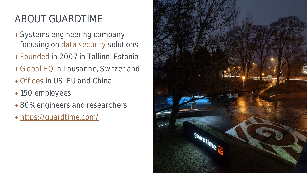### ABOUT GUARDTIME

- + Systems engineering company focusing on data security solutions
- + Founded in 2007 in Tallinn, Estonia
- + Global HQ in Lausanne, Switzerland + Offices in US, EU and China
- + 150 employees
- + 80% engineers and researchers
- + <https://guardtime.com/>

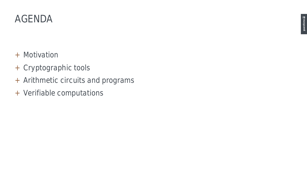

- + Motivation
- + Cryptographic tools
- + Arithmetic circuits and programs
- + Verifiable computations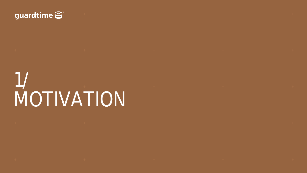#### guardtime

1/ MOTIVATION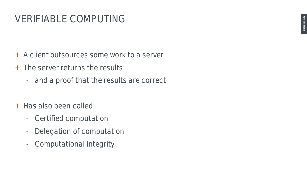#### VERIFIABLE COMPUTING

- + A client outsources some work to a server
- + The server returns the results
	- and a proof that the results are correct
- + Has also been called
	- Certified computation
	- Delegation of computation
	- Computational integrity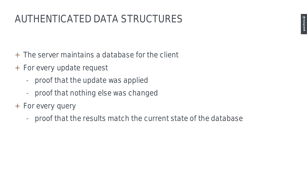#### AUTHENTICATED DATA STRUCTURES

- + The server maintains a database for the client
- + For every update request
	- proof that the update was applied
	- proof that nothing else was changed
- + For every query
	- proof that the results match the current state of the database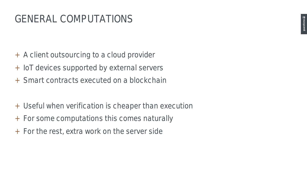#### GENERAL COMPUTATIONS

- + A client outsourcing to a cloud provider
- + IoT devices supported by external servers
- + Smart contracts executed on a blockchain
- + Useful when verification is cheaper than execution
- + For some computations this comes naturally
- + For the rest, extra work on the server side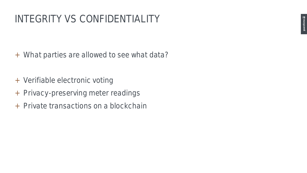- + What parties are allowed to see what data?
- + Verifiable electronic voting
- + Privacy-preserving meter readings
- + Private transactions on a blockchain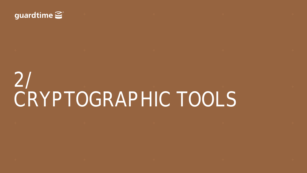#### guardtime  $\mathcal{Z}^{\cdot}$

2/ CRYPTOGRAPHIC TOOLS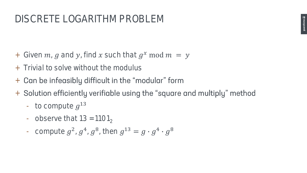- + Given  $m$ ,  $g$  and  $y$ , find  $x$  such that  $g^x$  mod  $m = y$
- + Trivial to solve without the modulus
- Can be infeasibly difficult in the "modular" form  $+$
- Solution efficiently verifiable using the "square and multiply" method  $+$ 
	- to compute  $g^{13}$
	- observe that  $13 = 1101$
	- compute  $g^2$ ,  $g^4$ ,  $g^8$ , then  $g^{13} = g \cdot g^4 \cdot g^8$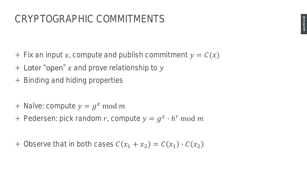- + Fix an input x, compute and publish commitment  $y = C(x)$
- $+$  Later "open" x and prove relationship to y
- + Binding and hiding properties
- + Naïve: compute  $y = g^x \mod m$
- + Pedersen: pick random r, compute  $y = g^x \cdot h^r \text{ mod } m$
- + Observe that in both cases  $C(x_1 + x_2) = C(x_1) \cdot C(x_2)$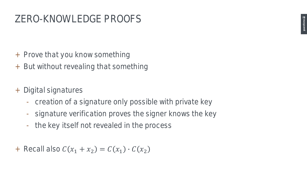- + Prove that you know something
- + But without revealing that something
- + Digital signatures
	- creation of a signature only possible with private key
	- signature verification proves the signer knows the key
	- the key itself not revealed in the process
- + Recall also  $C(x_1 + x_2) = C(x_1) \cdot C(x_2)$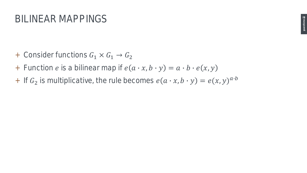- + Consider functions  $G_1 \times G_1 \rightarrow G_2$
- + Function *e* is a bilinear map if  $e(a \cdot x, b \cdot y) = a \cdot b \cdot e(x, y)$
- + If  $G_2$  is multiplicative, the rule becomes  $e(a \cdot x, b \cdot y) = e(x, y)^{a \cdot b}$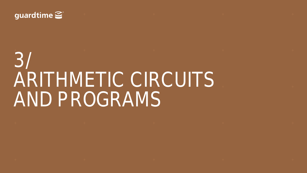

## $+$  +  $+$  +  $+$  +  $+$  +  $+$  +  $+$  +  $+$  +  $+$  +  $+$  +  $+$  +  $+$  +  $+$  +  $+$  +  $+$  +  $+$  +  $+$  +  $+$  +  $+$  +  $+$  +  $+$  +  $+$  +  $+$  +  $+$  +  $+$  +  $+$  +  $+$  +  $+$  +  $+$  +  $+$  +  $+$  +  $+$  +  $+$  +  $+$  +  $+$  +  $+$  +  $+$  +  $+$  + 3/ ARITHMETIC CIRCUITS AND PROGRAMS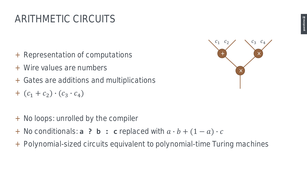### ARITHMETIC CIRCUITS

- + Representation of computations
- + Wire values are numbers
- + Gates are additions and multiplications
- +  $(c_1 + c_2) \cdot (c_3 \cdot c_4)$
- + No loops: unrolled by the compiler
- + No conditionals: **a ? b : c** replaced with  $a \cdot b + (1 a) \cdot c$
- + Polynomial-sized circuits equivalent to polynomial-time Turing machines

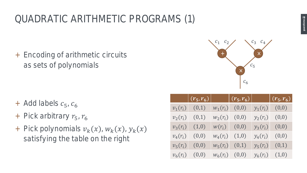### QUADRATIC ARITHMETIC PROGRAMS (1)

+ Encoding of arithmetic circuits as sets of polynomials

- + Add labels  $c_5$ ,  $c_6$
- + Pick arbitrary  $r_5$ ,  $r_6$
- + Pick polynomials  $v_k(x)$ ,  $w_k(x)$ ,  $y_k(x)$ satisfying the table on the right



 $c_{5}$ 

 $c<sub>6</sub>$ 

|            | $(r_5,r_6)$ |            | $\left \left \left(r_{5}, r_{6}\right)\right \right $ |            | $(r_5,r_6)$ |
|------------|-------------|------------|-------------------------------------------------------|------------|-------------|
| $v_1(r_i)$ | (0,1)       | $W_1(r_i)$ | (0,0)                                                 | $y_1(r_i)$ | (0,0)       |
| $v_2(r_i)$ | (0,1)       | $W_2(r_i)$ | (0, 0)                                                | $y_2(r_i)$ | (0,0)       |
| $v_3(r_i)$ | (1,0)       | $w(r_i)$   | (0,0)                                                 | $y_3(r_i)$ | (0,0)       |
| $v_4(r_i)$ | (0,0)       | $W_4(r_i)$ | (1,0)                                                 | $y_4(r_i)$ | (0,0)       |
| $v_5(r_i)$ | (0,0)       | $W_5(r_i)$ | (0,1)                                                 | $y_5(r_i)$ | (0,1)       |
| $v_6(r_i)$ | (0,0)       |            | $W_6(r_i)$ (0,0)                                      | $y_6(r_i)$ | (1,0)       |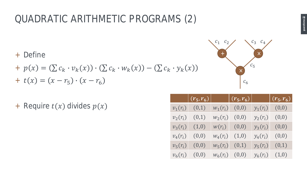#### QUADRATIC ARITHMETIC PROGRAMS (2)

- + Define
- +  $p(x) = (\sum c_k \cdot v_k(x)) \cdot (\sum c_k \cdot w_k(x)) (\sum c_k \cdot y_k(x))$ +  $t(x) = (x - r_5) \cdot (x - r_6)$
- + Require  $t(x)$  divides  $p(x)$

|            | $\left  (r_5, r_6) \right $ $\left  (r_5, r_6) \right $ $\left  (r_5, r_6) \right $ |                  |            |                  |
|------------|-------------------------------------------------------------------------------------|------------------|------------|------------------|
| $v_1(r_i)$ | (0,1)                                                                               | $W_1(r_i)$ (0,0) |            | $y_1(r_i)$ (0,0) |
| $v_2(r_i)$ | (0,1)                                                                               | $w_2(r_i)$ (0,0) | $y_2(r_i)$ | (0,0)            |
| $v_3(r_i)$ | (1,0)                                                                               | $w(r_i)$ (0,0)   | $y_3(r_i)$ | (0,0)            |
| $v_4(r_i)$ | (0,0)                                                                               | $w_4(r_i)$ (1,0) | $y_4(r_i)$ | (0,0)            |
| $v_5(r_i)$ | (0,0)                                                                               | $w_5(r_i)$ (0,1) | $y_5(r_i)$ | (0,1)            |
| $v_6(r_i)$ | (0,0)                                                                               | $W_6(r_i)$ (0,0) | $y_6(r_i)$ | (1,0)            |

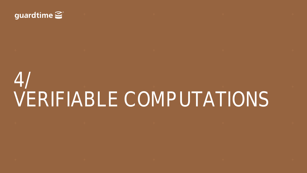#### guardtime  $\mathcal{L}^{\circ}$

4/ VERIFIABLE COMPUTATIONS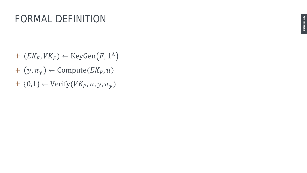- +  $(EK_F, VK_F) \leftarrow \text{KeyGen}(F, 1^{\lambda})$
- +  $(y, \pi_y) \leftarrow$  Compute  $(EK_F, u)$
- +  $\{0,1\} \leftarrow \text{Verify}(VK_F, u, y, \pi_y)$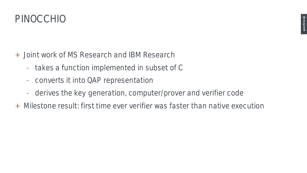

- + Joint work of MS Research and IBM Research
	- takes a function implemented in subset of C
	- converts it into QAP representation
	- derives the key generation, computer/prover and verifier code
- + Milestone result: first time ever verifier was faster than native execution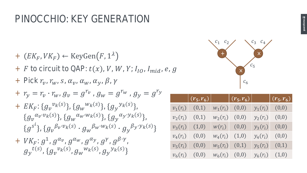#### PINOCCHIO: KEY GENERATION

- +  $(EK_F, VK_F) \leftarrow \text{KeyGen}(F, 1^{\lambda})$
- + F to circuit to QAP:  $t(x)$ , V, W, Y;  $I_{IO}$ ,  $I_{mid}$ ,  $e$ ,  $g$
- + Pick  $r_{v}$ ,  $r_{w}$ ,  $s$ ,  $\alpha_{v}$ ,  $\alpha_{w}$ ,  $\alpha_{v}$ ,  $\beta$ ,  $\gamma$
- +  $r_y = r_v \cdot r_{w}$ ,  $g_v = g^{r_v}$ ,  $g_w = g^{r_w}$ ,  $g_y = g^{r_y}$
- +  $EK_F$ : { $g_v^{v_k(s)}$ }, { $g_w^{w_k(s)}$ }, { $g_y^{v_k(s)}$ }  $\{g_{\nu}^{\alpha_{\nu} \cdot \nu_{k}(s)}\}$ ,  $\{g_{\nu}^{\alpha_{w} \cdot w_{k}(s)}\}$ ,  $\{g_{\nu}^{\alpha_{\nu} \cdot y_{k}(s)}\}$ ,  $\{g^{s^i}\}, \{g_\nu^{\beta_\nu \cdot \nu_k(s)} \cdot g_\nu^{\beta_w \cdot w_k(s)} \cdot g_\nu^{\beta_\nu \cdot \gamma_k(s)}\}$
- $+ \;\; V K_F \colon g^1,\, g^{\alpha_\nu} ,\, g^{\alpha_\omega} ,\, g^{\alpha_\gamma} ,\, g^\gamma ,\, g^{\beta\cdot \gamma}$  ,  $g_{\mathcal{Y}}{}^{t(s)}$  ,  $\{g_{\mathcal{V}}{}^{\mathcal{V}_k(s)}, g_{\mathcal{W}}{}^{\mathcal{W}_k(s)}, g_{\mathcal{Y}}{}^{\mathcal{Y}_k(s)}\}$



|            | $(r_5,r_6)$ |            | $\left  (r_5, r_6) \right $ |            | $\mid (r_5, r_6)$ |
|------------|-------------|------------|-----------------------------|------------|-------------------|
| $v_1(r_i)$ | (0,1)       | $W_1(r_i)$ | (0,0)                       | $y_1(r_i)$ | (0,0)             |
| $v_2(r_i)$ | (0,1)       | $W_2(r_i)$ | (0, 0)                      | $y_2(r_i)$ | (0,0)             |
| $v_3(r_i)$ | (1,0)       | $w(r_i)$   | (0,0)                       | $y_3(r_i)$ | (0,0)             |
| $v_4(r_i)$ | (0,0)       | $W_4(r_i)$ | (1,0)                       | $y_4(r_i)$ | (0,0)             |
| $v_5(r_i)$ | (0,0)       | $w_5(r_i)$ | (0,1)                       | $y_5(r_i)$ | (0,1)             |
| $v_6(r_i)$ | (0,0)       | $W_6(r_i)$ | (0,0)                       | $y_6(r_i)$ | (1,0)             |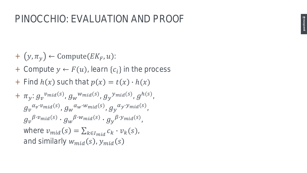- +  $(y, \pi_y) \leftarrow$  Compute  $(EK_F, u)$ :
- + Compute  $y \leftarrow F(u)$ , learn  $\{c_i\}$  in the process
- + Find  $h(x)$  such that  $p(x) = t(x) \cdot h(x)$

+ 
$$
\pi_y
$$
:  $g_v^{v_{mid}(s)}$ ,  $g_w^{w_{mid}(s)}$ ,  $g_y^{v_{mid}(s)}$ ,  $g_h^{h(s)}$ ,  
\n $g_v^{a_v v_{mid}(s)}$ ,  $g_w^{a_w w_{mid}(s)}$ ,  $g_y^{a_v v_{mid}(s)}$ ,  
\n $g_v^{\beta \cdot v_{mid}(s)} \cdot g_w^{\beta \cdot w_{mid}(s)} \cdot g_y^{\beta \cdot v_{mid}(s)}$ ,  
\nwhere  $v_{mid}(s) = \sum_{k \in I_{mid}} c_k \cdot v_k(s)$ ,  
\nand similarly  $w_{mid}(s)$ ,  $y_{mid}(s)$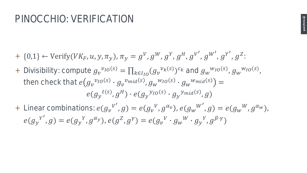#### PINOCCHIO: VERIFICATION

guardtime  $\subseteq$ 

- + {0,1}  $\leftarrow$  Verify(VK<sub>F</sub>, u, y,  $\pi_y$ ),  $\pi_y = g^V$ ,  $g^W$ ,  $g^Y$ ,  $g^H$ ,  $g^{V'}$ ,  $g^{W'}$ ,  $g^{Y'}$ ,  $g^Z$ :
- + Divisibility: compute  $g_\nu{}^{\nu_{IO}(s)} = \prod_{k \in I_{IO}} (g_\nu{}^{\nu_k(s)})^{c_k}$  and  $g_\nu{}^{\nu_{IO}(s)}$ ,  $g_\nu{}^{\nu_{IO}(s)}$ , then check that  $e(g_v{}^{v_{IO}(s)}\cdot g_v{}^{v_{mid}(s)},g_w{}^{w_{IO}(s)}\cdot g_w{}^{w_{mid}(s)})=0$  $e(g_{\mathcal{Y}}{}^{t(s)},g^H) \cdot e(g_{\mathcal{Y}}{}^{y_{I0}(s)} \cdot g_{\mathcal{Y}}{}^{y_{mid}(s)},g)$
- + Linear combinations:  $e(g_v^{V'}, g) = e(g_v^{V}, g^{\alpha_v})$ ,  $e(g_w^{W'}, g) = e(g_w^{W}, g^{\alpha_w})$ ,  $e(g_{y}^{Y'}, g) = e(g_{y}^{Y}, g^{\alpha_{y}}), e(g^{Z}, g^{Y}) = e(g_{v}^{V} \cdot g_{w}^{W} \cdot g_{y}^{Y}, g^{\beta \cdot Y})$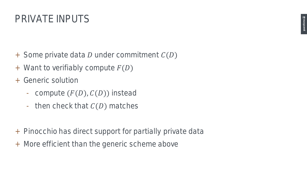- + Some private data  $D$  under commitment  $C(D)$
- $+$  Want to verifiably compute  $F(D)$
- + Generic solution
	- compute  $(F(D), C(D))$  instead
	- then check that  $C(D)$  matches
- + Pinocchio has direct support for partially private data
- + More efficient than the generic scheme above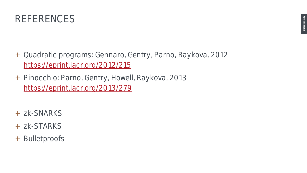

- + Quadratic programs: Gennaro, Gentry, Parno, Raykova, 2012 <https://eprint.iacr.org/2012/215>
- + Pinocchio: Parno, Gentry, Howell, Raykova, 2013 <https://eprint.iacr.org/2013/279>
- + zk-SNARKS
- + zk-STARKS
- + Bulletproofs